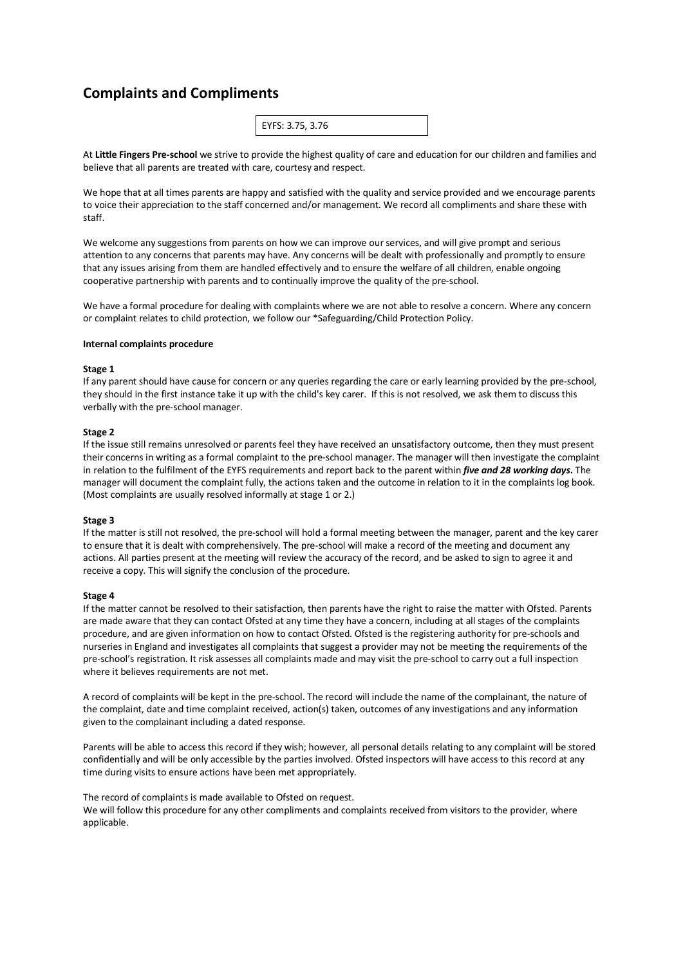# **Complaints and Compliments**

| EYFS: 3.75, 3.76 |
|------------------|
|------------------|

At **Little Fingers Pre-school** we strive to provide the highest quality of care and education for our children and families and believe that all parents are treated with care, courtesy and respect.

We hope that at all times parents are happy and satisfied with the quality and service provided and we encourage parents to voice their appreciation to the staff concerned and/or management. We record all compliments and share these with staff.

We welcome any suggestions from parents on how we can improve our services, and will give prompt and serious attention to any concerns that parents may have. Any concerns will be dealt with professionally and promptly to ensure that any issues arising from them are handled effectively and to ensure the welfare of all children, enable ongoing cooperative partnership with parents and to continually improve the quality of the pre-school.

We have a formal procedure for dealing with complaints where we are not able to resolve a concern. Where any concern or complaint relates to child protection, we follow our \*Safeguarding/Child Protection Policy.

#### **Internal complaints procedure**

#### **Stage 1**

If any parent should have cause for concern or any queries regarding the care or early learning provided by the pre-school, they should in the first instance take it up with the child's key carer. If this is not resolved, we ask them to discuss this verbally with the pre-school manager.

# **Stage 2**

If the issue still remains unresolved or parents feel they have received an unsatisfactory outcome, then they must present their concerns in writing as a formal complaint to the pre-school manager. The manager will then investigate the complaint in relation to the fulfilment of the EYFS requirements and report back to the parent within *five and 28 working days***.** The manager will document the complaint fully, the actions taken and the outcome in relation to it in the complaints log book. (Most complaints are usually resolved informally at stage 1 or 2.)

## **Stage 3**

If the matter is still not resolved, the pre-school will hold a formal meeting between the manager, parent and the key carer to ensure that it is dealt with comprehensively. The pre-school will make a record of the meeting and document any actions. All parties present at the meeting will review the accuracy of the record, and be asked to sign to agree it and receive a copy. This will signify the conclusion of the procedure.

#### **Stage 4**

If the matter cannot be resolved to their satisfaction, then parents have the right to raise the matter with Ofsted. Parents are made aware that they can contact Ofsted at any time they have a concern, including at all stages of the complaints procedure, and are given information on how to contact Ofsted. Ofsted is the registering authority for pre-schools and nurseries in England and investigates all complaints that suggest a provider may not be meeting the requirements of the pre-school's registration. It risk assesses all complaints made and may visit the pre-school to carry out a full inspection where it believes requirements are not met.

A record of complaints will be kept in the pre-school. The record will include the name of the complainant, the nature of the complaint, date and time complaint received, action(s) taken, outcomes of any investigations and any information given to the complainant including a dated response.

Parents will be able to access this record if they wish; however, all personal details relating to any complaint will be stored confidentially and will be only accessible by the parties involved. Ofsted inspectors will have access to this record at any time during visits to ensure actions have been met appropriately.

The record of complaints is made available to Ofsted on request. We will follow this procedure for any other compliments and complaints received from visitors to the provider, where applicable.